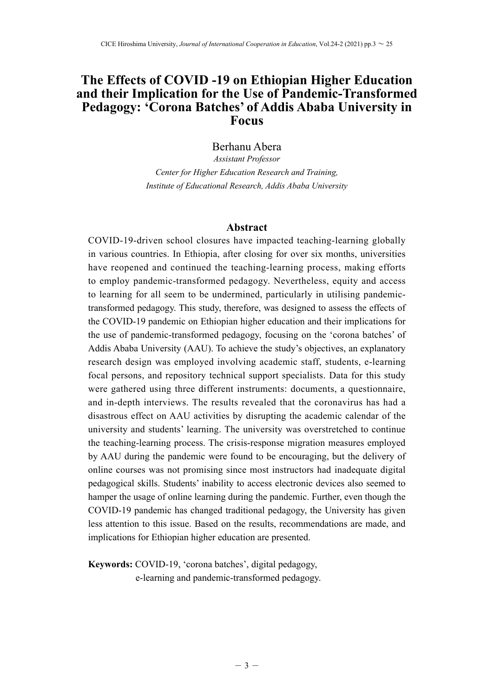# **The Effects of COVID -19 on Ethiopian Higher Education and their Implication for the Use of Pandemic-Transformed Pedagogy: 'Corona Batches' of Addis Ababa University in Focus**

## Berhanu Abera

*Assistant Professor Center for Higher Education Research and Training, Institute of Educational Research, Addis Ababa University*

#### **Abstract**

COVID-19-driven school closures have impacted teaching-learning globally in various countries. In Ethiopia, after closing for over six months, universities have reopened and continued the teaching-learning process, making efforts to employ pandemic-transformed pedagogy. Nevertheless, equity and access to learning for all seem to be undermined, particularly in utilising pandemictransformed pedagogy. This study, therefore, was designed to assess the effects of the COVID-19 pandemic on Ethiopian higher education and their implications for the use of pandemic-transformed pedagogy, focusing on the 'corona batches' of Addis Ababa University (AAU). To achieve the study's objectives, an explanatory research design was employed involving academic staff, students, e-learning focal persons, and repository technical support specialists. Data for this study were gathered using three different instruments: documents, a questionnaire, and in-depth interviews. The results revealed that the coronavirus has had a disastrous effect on AAU activities by disrupting the academic calendar of the university and students' learning. The university was overstretched to continue the teaching-learning process. The crisis-response migration measures employed by AAU during the pandemic were found to be encouraging, but the delivery of online courses was not promising since most instructors had inadequate digital pedagogical skills. Students' inability to access electronic devices also seemed to hamper the usage of online learning during the pandemic. Further, even though the COVID-19 pandemic has changed traditional pedagogy, the University has given less attention to this issue. Based on the results, recommendations are made, and implications for Ethiopian higher education are presented.

**Keywords:** COVID-19, 'corona batches', digital pedagogy, e-learning and pandemic-transformed pedagogy.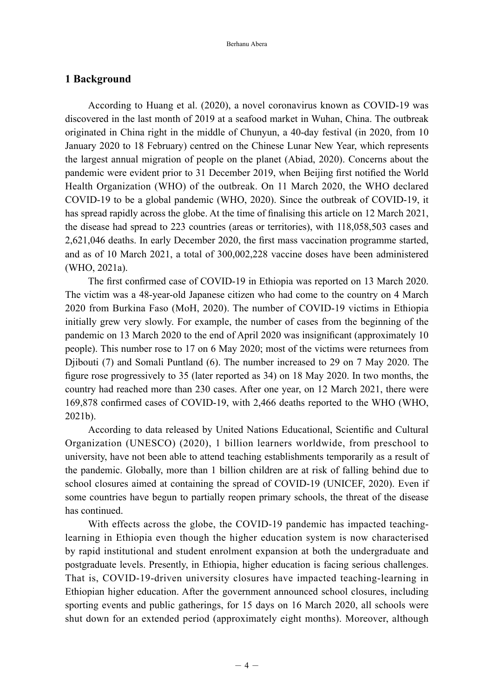### **1 Background**

According to Huang et al. (2020), a novel coronavirus known as COVID-19 was discovered in the last month of 2019 at a seafood market in Wuhan, China. The outbreak originated in China right in the middle of Chunyun, a 40-day festival (in 2020, from 10 January 2020 to 18 February) centred on the Chinese Lunar New Year, which represents the largest annual migration of people on the planet (Abiad, 2020). Concerns about the pandemic were evident prior to 31 December 2019, when Beijing first notified the World Health Organization (WHO) of the outbreak. On 11 March 2020, the WHO declared COVID-19 to be a global pandemic (WHO, 2020). Since the outbreak of COVID-19, it has spread rapidly across the globe. At the time of finalising this article on 12 March 2021, the disease had spread to 223 countries (areas or territories), with 118,058,503 cases and 2,621,046 deaths. In early December 2020, the first mass vaccination programme started, and as of 10 March 2021, a total of 300,002,228 vaccine doses have been administered (WHO, 2021a).

The first confirmed case of COVID-19 in Ethiopia was reported on 13 March 2020. The victim was a 48-year-old Japanese citizen who had come to the country on 4 March 2020 from Burkina Faso (MoH, 2020). The number of COVID-19 victims in Ethiopia initially grew very slowly. For example, the number of cases from the beginning of the pandemic on 13 March 2020 to the end of April 2020 was insignificant (approximately 10 people). This number rose to 17 on 6 May 2020; most of the victims were returnees from Djibouti (7) and Somali Puntland (6). The number increased to 29 on 7 May 2020. The figure rose progressively to 35 (later reported as  $34$ ) on 18 May 2020. In two months, the country had reached more than 230 cases. After one year, on 12 March 2021, there were 169,878 confirmed cases of COVID-19, with 2,466 deaths reported to the WHO (WHO, 2021b).

According to data released by United Nations Educational, Scientific and Cultural Organization (UNESCO) (2020), 1 billion learners worldwide, from preschool to university, have not been able to attend teaching establishments temporarily as a result of the pandemic. Globally, more than 1 billion children are at risk of falling behind due to school closures aimed at containing the spread of COVID-19 (UNICEF, 2020). Even if some countries have begun to partially reopen primary schools, the threat of the disease has continued.

With effects across the globe, the COVID-19 pandemic has impacted teachinglearning in Ethiopia even though the higher education system is now characterised by rapid institutional and student enrolment expansion at both the undergraduate and postgraduate levels. Presently, in Ethiopia, higher education is facing serious challenges. That is, COVID-19-driven university closures have impacted teaching-learning in Ethiopian higher education. After the government announced school closures, including sporting events and public gatherings, for 15 days on 16 March 2020, all schools were shut down for an extended period (approximately eight months). Moreover, although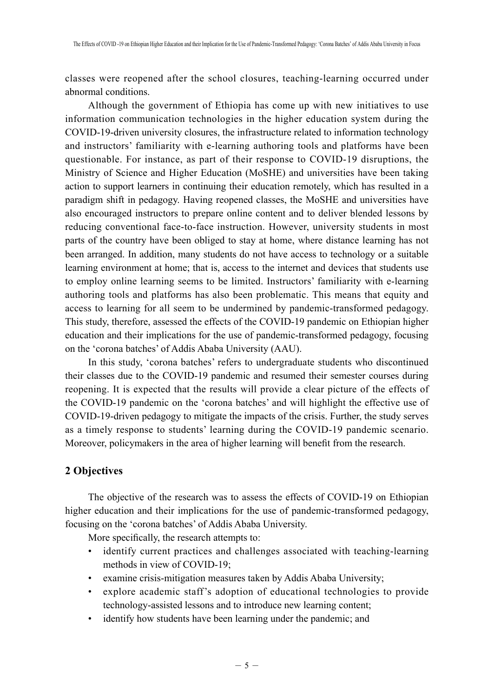classes were reopened after the school closures, teaching-learning occurred under abnormal conditions.

Although the government of Ethiopia has come up with new initiatives to use information communication technologies in the higher education system during the COVID-19-driven university closures, the infrastructure related to information technology and instructors' familiarity with e-learning authoring tools and platforms have been questionable. For instance, as part of their response to COVID-19 disruptions, the Ministry of Science and Higher Education (MoSHE) and universities have been taking action to support learners in continuing their education remotely, which has resulted in a paradigm shift in pedagogy. Having reopened classes, the MoSHE and universities have also encouraged instructors to prepare online content and to deliver blended lessons by reducing conventional face-to-face instruction. However, university students in most parts of the country have been obliged to stay at home, where distance learning has not been arranged. In addition, many students do not have access to technology or a suitable learning environment at home; that is, access to the internet and devices that students use to employ online learning seems to be limited. Instructors' familiarity with e-learning authoring tools and platforms has also been problematic. This means that equity and access to learning for all seem to be undermined by pandemic-transformed pedagogy. This study, therefore, assessed the effects of the COVID-19 pandemic on Ethiopian higher education and their implications for the use of pandemic-transformed pedagogy, focusing on the 'corona batches' of Addis Ababa University (AAU).

In this study, 'corona batches' refers to undergraduate students who discontinued their classes due to the COVID-19 pandemic and resumed their semester courses during reopening. It is expected that the results will provide a clear picture of the effects of the COVID-19 pandemic on the 'corona batches' and will highlight the effective use of COVID-19-driven pedagogy to mitigate the impacts of the crisis. Further, the study serves as a timely response to students' learning during the COVID-19 pandemic scenario. Moreover, policymakers in the area of higher learning will benefit from the research.

## **2 Objectives**

The objective of the research was to assess the effects of COVID-19 on Ethiopian higher education and their implications for the use of pandemic-transformed pedagogy, focusing on the 'corona batches' of Addis Ababa University.

More specifically, the research attempts to:

- identify current practices and challenges associated with teaching-learning methods in view of COVID-19;
- examine crisis-mitigation measures taken by Addis Ababa University;
- explore academic staff's adoption of educational technologies to provide technology-assisted lessons and to introduce new learning content;
- identify how students have been learning under the pandemic; and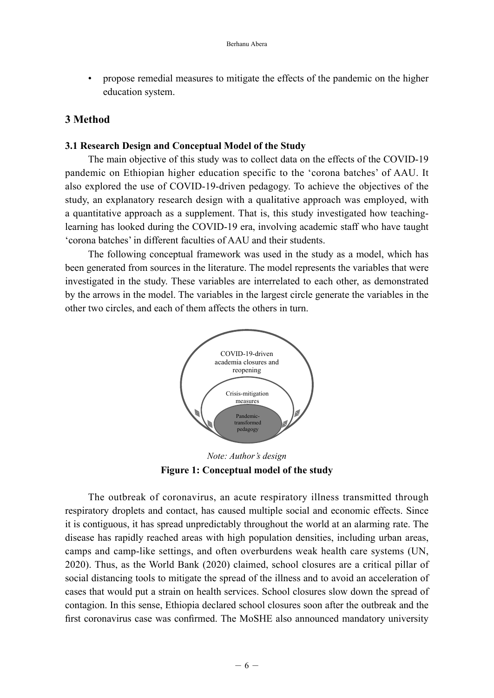• propose remedial measures to mitigate the effects of the pandemic on the higher education system.

## **3 Method**

### **3.1 Research Design and Conceptual Model of the Study**

The main objective of this study was to collect data on the effects of the COVID-19 pandemic on Ethiopian higher education specific to the 'corona batches' of AAU. It also explored the use of COVID-19-driven pedagogy. To achieve the objectives of the study, an explanatory research design with a qualitative approach was employed, with a quantitative approach as a supplement. That is, this study investigated how teachinglearning has looked during the COVID-19 era, involving academic staff who have taught 'corona batches' in different faculties of AAU and their students.

The following conceptual framework was used in the study as a model, which has been generated from sources in the literature. The model represents the variables that were investigated in the study. These variables are interrelated to each other, as demonstrated by the arrows in the model. The variables in the largest circle generate the variables in the other two circles, and each of them affects the others in turn.



*Note: Author's design* **Figure 1: Conceptual model of the study**

The outbreak of coronavirus, an acute respiratory illness transmitted through respiratory droplets and contact, has caused multiple social and economic effects. Since it is contiguous, it has spread unpredictably throughout the world at an alarming rate. The disease has rapidly reached areas with high population densities, including urban areas, camps and camp-like settings, and often overburdens weak health care systems (UN, 2020). Thus, as the World Bank (2020) claimed, school closures are a critical pillar of social distancing tools to mitigate the spread of the illness and to avoid an acceleration of cases that would put a strain on health services. School closures slow down the spread of contagion. In this sense, Ethiopia declared school closures soon after the outbreak and the first coronavirus case was confirmed. The MoSHE also announced mandatory university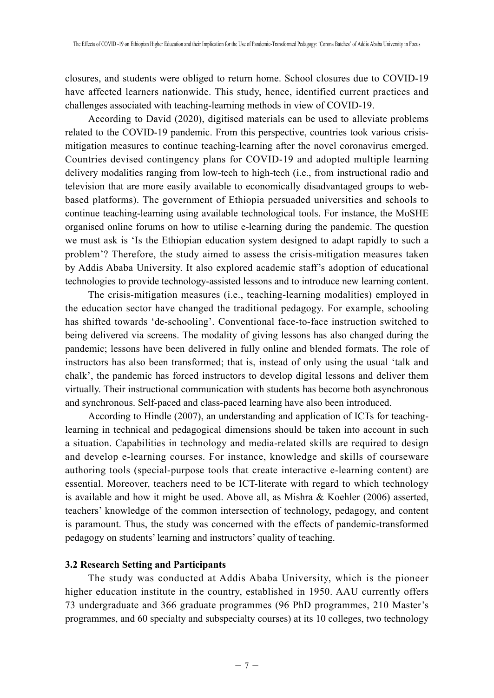closures, and students were obliged to return home. School closures due to COVID-19 have affected learners nationwide. This study, hence, identified current practices and challenges associated with teaching-learning methods in view of COVID-19.

According to David (2020), digitised materials can be used to alleviate problems related to the COVID-19 pandemic. From this perspective, countries took various crisismitigation measures to continue teaching-learning after the novel coronavirus emerged. Countries devised contingency plans for COVID-19 and adopted multiple learning delivery modalities ranging from low-tech to high-tech (i.e., from instructional radio and television that are more easily available to economically disadvantaged groups to webbased platforms). The government of Ethiopia persuaded universities and schools to continue teaching-learning using available technological tools. For instance, the MoSHE organised online forums on how to utilise e-learning during the pandemic. The question we must ask is 'Is the Ethiopian education system designed to adapt rapidly to such a problem'? Therefore, the study aimed to assess the crisis-mitigation measures taken by Addis Ababa University. It also explored academic staff's adoption of educational technologies to provide technology-assisted lessons and to introduce new learning content.

The crisis-mitigation measures (i.e., teaching-learning modalities) employed in the education sector have changed the traditional pedagogy. For example, schooling has shifted towards 'de-schooling'. Conventional face-to-face instruction switched to being delivered via screens. The modality of giving lessons has also changed during the pandemic; lessons have been delivered in fully online and blended formats. The role of instructors has also been transformed; that is, instead of only using the usual 'talk and chalk', the pandemic has forced instructors to develop digital lessons and deliver them virtually. Their instructional communication with students has become both asynchronous and synchronous. Self-paced and class-paced learning have also been introduced.

According to Hindle (2007), an understanding and application of ICTs for teachinglearning in technical and pedagogical dimensions should be taken into account in such a situation. Capabilities in technology and media-related skills are required to design and develop e-learning courses. For instance, knowledge and skills of courseware authoring tools (special-purpose tools that create interactive e-learning content) are essential. Moreover, teachers need to be ICT-literate with regard to which technology is available and how it might be used. Above all, as Mishra  $\&$  Koehler (2006) asserted, teachers' knowledge of the common intersection of technology, pedagogy, and content is paramount. Thus, the study was concerned with the effects of pandemic-transformed pedagogy on students' learning and instructors' quality of teaching.

### **3.2 Research Setting and Participants**

The study was conducted at Addis Ababa University, which is the pioneer higher education institute in the country, established in 1950. AAU currently offers 73 undergraduate and 366 graduate programmes (96 PhD programmes, 210 Master's programmes, and 60 specialty and subspecialty courses) at its 10 colleges, two technology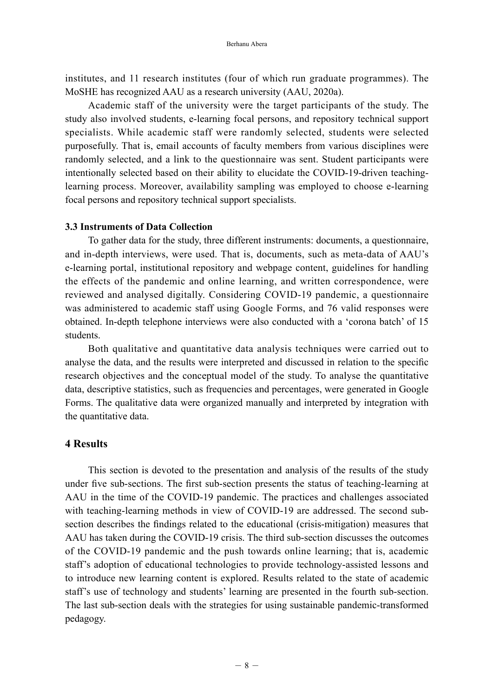institutes, and 11 research institutes (four of which run graduate programmes). The MoSHE has recognized AAU as a research university (AAU, 2020a).

Academic staff of the university were the target participants of the study. The study also involved students, e-learning focal persons, and repository technical support specialists. While academic staff were randomly selected, students were selected purposefully. That is, email accounts of faculty members from various disciplines were randomly selected, and a link to the questionnaire was sent. Student participants were intentionally selected based on their ability to elucidate the COVID-19-driven teachinglearning process. Moreover, availability sampling was employed to choose e-learning focal persons and repository technical support specialists.

#### **3.3 Instruments of Data Collection**

To gather data for the study, three different instruments: documents, a questionnaire, and in-depth interviews, were used. That is, documents, such as meta-data of AAU's e-learning portal, institutional repository and webpage content, guidelines for handling the effects of the pandemic and online learning, and written correspondence, were reviewed and analysed digitally. Considering COVID-19 pandemic, a questionnaire was administered to academic staff using Google Forms, and 76 valid responses were obtained. In-depth telephone interviews were also conducted with a 'corona batch' of 15 students.

Both qualitative and quantitative data analysis techniques were carried out to analyse the data, and the results were interpreted and discussed in relation to the specific research objectives and the conceptual model of the study. To analyse the quantitative data, descriptive statistics, such as frequencies and percentages, were generated in Google Forms. The qualitative data were organized manually and interpreted by integration with the quantitative data.

## **4 Results**

This section is devoted to the presentation and analysis of the results of the study under five sub-sections. The first sub-section presents the status of teaching-learning at AAU in the time of the COVID-19 pandemic. The practices and challenges associated with teaching-learning methods in view of COVID-19 are addressed. The second subsection describes the findings related to the educational (crisis-mitigation) measures that AAU has taken during the COVID-19 crisis. The third sub-section discusses the outcomes of the COVID-19 pandemic and the push towards online learning; that is, academic staff's adoption of educational technologies to provide technology-assisted lessons and to introduce new learning content is explored. Results related to the state of academic staff's use of technology and students' learning are presented in the fourth sub-section. The last sub-section deals with the strategies for using sustainable pandemic-transformed pedagogy.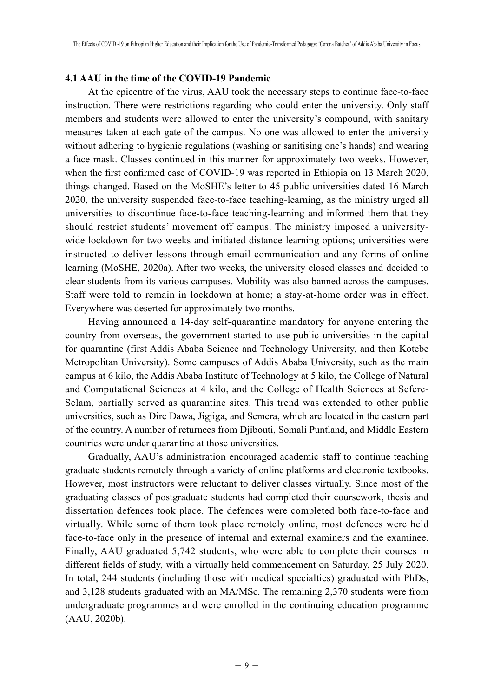## **4.1 AAU in the time of the COVID-19 Pandemic**

At the epicentre of the virus, AAU took the necessary steps to continue face-to-face instruction. There were restrictions regarding who could enter the university. Only staff members and students were allowed to enter the university's compound, with sanitary measures taken at each gate of the campus. No one was allowed to enter the university without adhering to hygienic regulations (washing or sanitising one's hands) and wearing a face mask. Classes continued in this manner for approximately two weeks. However, when the first confirmed case of COVID-19 was reported in Ethiopia on 13 March 2020, things changed. Based on the MoSHE's letter to 45 public universities dated 16 March 2020, the university suspended face-to-face teaching-learning, as the ministry urged all universities to discontinue face-to-face teaching-learning and informed them that they should restrict students' movement off campus. The ministry imposed a universitywide lockdown for two weeks and initiated distance learning options; universities were instructed to deliver lessons through email communication and any forms of online learning (MoSHE, 2020a). After two weeks, the university closed classes and decided to clear students from its various campuses. Mobility was also banned across the campuses. Staff were told to remain in lockdown at home; a stay-at-home order was in effect. Everywhere was deserted for approximately two months.

Having announced a 14-day self-quarantine mandatory for anyone entering the country from overseas, the government started to use public universities in the capital for quarantine (first Addis Ababa Science and Technology University, and then Kotebe Metropolitan University). Some campuses of Addis Ababa University, such as the main campus at 6 kilo, the Addis Ababa Institute of Technology at 5 kilo, the College of Natural and Computational Sciences at 4 kilo, and the College of Health Sciences at Sefere-Selam, partially served as quarantine sites. This trend was extended to other public universities, such as Dire Dawa, Jigjiga, and Semera, which are located in the eastern part of the country. A number of returnees from Djibouti, Somali Puntland, and Middle Eastern countries were under quarantine at those universities.

Gradually, AAU's administration encouraged academic staff to continue teaching graduate students remotely through a variety of online platforms and electronic textbooks. However, most instructors were reluctant to deliver classes virtually. Since most of the graduating classes of postgraduate students had completed their coursework, thesis and dissertation defences took place. The defences were completed both face-to-face and virtually. While some of them took place remotely online, most defences were held face-to-face only in the presence of internal and external examiners and the examinee. Finally, AAU graduated 5,742 students, who were able to complete their courses in different fields of study, with a virtually held commencement on Saturday, 25 July 2020. In total, 244 students (including those with medical specialties) graduated with PhDs, and 3,128 students graduated with an MA/MSc. The remaining 2,370 students were from undergraduate programmes and were enrolled in the continuing education programme (AAU, 2020b).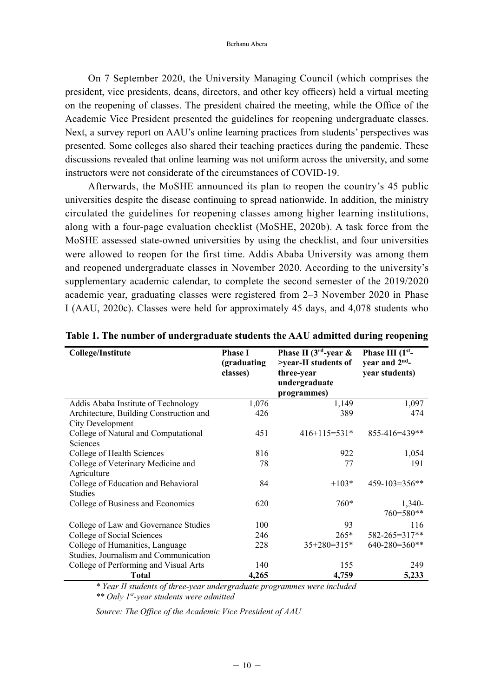On 7 September 2020, the University Managing Council (which comprises the president, vice presidents, deans, directors, and other key officers) held a virtual meeting on the reopening of classes. The president chaired the meeting, while the Office of the Academic Vice President presented the guidelines for reopening undergraduate classes. Next, a survey report on AAU's online learning practices from students' perspectives was presented. Some colleges also shared their teaching practices during the pandemic. These discussions revealed that online learning was not uniform across the university, and some instructors were not considerate of the circumstances of COVID-19.

Afterwards, the MoSHE announced its plan to reopen the country's 45 public universities despite the disease continuing to spread nationwide. In addition, the ministry circulated the guidelines for reopening classes among higher learning institutions, along with a four-page evaluation checklist (MoSHE, 2020b). A task force from the MoSHE assessed state-owned universities by using the checklist, and four universities were allowed to reopen for the first time. Addis Ababa University was among them and reopened undergraduate classes in November 2020. According to the university's supplementary academic calendar, to complete the second semester of the 2019/2020 academic year, graduating classes were registered from 2–3 November 2020 in Phase I (AAU, 2020c). Classes were held for approximately 45 days, and 4,078 students who

| <b>College/Institute</b>                | <b>Phase I</b><br>(graduating | Phase II ( $3rd$ -year &<br>>year-II students of | Phase III (1 <sup>st</sup> -<br>year and $2nd$ - |
|-----------------------------------------|-------------------------------|--------------------------------------------------|--------------------------------------------------|
|                                         | classes)                      | three-year                                       | year students)                                   |
|                                         |                               | undergraduate                                    |                                                  |
|                                         |                               | programmes)                                      |                                                  |
| Addis Ababa Institute of Technology     | 1,076                         | 1,149                                            | 1,097                                            |
| Architecture, Building Construction and | 426                           | 389                                              | 474                                              |
| City Development                        |                               |                                                  |                                                  |
| College of Natural and Computational    | 451                           | $416+115=531*$                                   | $855 - 416 = 439$ **                             |
| Sciences                                |                               |                                                  |                                                  |
| College of Health Sciences              | 816                           | 922                                              | 1,054                                            |
| College of Veterinary Medicine and      | 78                            | 77                                               | 191                                              |
| Agriculture                             |                               |                                                  |                                                  |
| College of Education and Behavioral     | 84                            | $+103*$                                          | $459-103=356**$                                  |
| <b>Studies</b>                          |                               |                                                  |                                                  |
| College of Business and Economics       | 620                           | $760*$                                           | 1,340-                                           |
|                                         |                               |                                                  | 760=580**                                        |
| College of Law and Governance Studies   | 100                           | 93                                               | 116                                              |
| College of Social Sciences              | 246                           | $265*$                                           | 582-265=317**                                    |
| College of Humanities, Language         | 228                           | $35+280=315*$                                    | $640 - 280 = 360$ **                             |
| Studies, Journalism and Communication   |                               |                                                  |                                                  |
| College of Performing and Visual Arts   | 140                           | 155                                              | 249                                              |
| Total                                   | 4,265                         | 4,759                                            | 5,233                                            |

**Table 1. The number of undergraduate students the AAU admitted during reopening**

*\* Year II students of three-year undergraduate programmes were included*

*\*\* Only 1st-year students were admitted*

*Source: The Office of the Academic Vice President of AAU*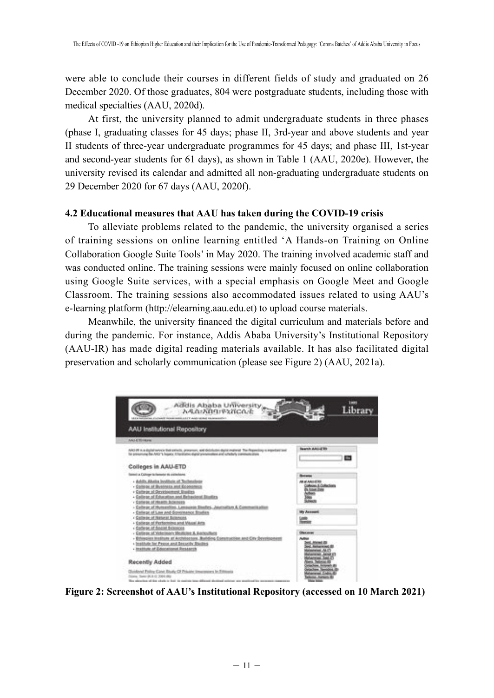were able to conclude their courses in different fields of study and graduated on 26 December 2020. Of those graduates, 804 were postgraduate students, including those with medical specialties (AAU, 2020d).

At first, the university planned to admit undergraduate students in three phases (phase I, graduating classes for 45 days; phase II, 3rd-year and above students and year II students of three-year undergraduate programmes for 45 days; and phase III, 1st-year and second-year students for 61 days), as shown in Table 1 (AAU, 2020e). However, the university revised its calendar and admitted all non-graduating undergraduate students on 29 December 2020 for 67 days (AAU, 2020f).

### **4.2 Educational measures that AAU has taken during the COVID-19 crisis**

To alleviate problems related to the pandemic, the university organised a series of training sessions on online learning entitled 'A Hands-on Training on Online Collaboration Google Suite Tools' in May 2020. The training involved academic staff and was conducted online. The training sessions were mainly focused on online collaboration using Google Suite services, with a special emphasis on Google Meet and Google Classroom. The training sessions also accommodated issues related to using AAU's e-learning platform (http://elearning.aau.edu.et) to upload course materials.

Meanwhile, the university financed the digital curriculum and materials before and during the pandemic. For instance, Addis Ababa University's Institutional Repository (AAU-IR) has made digital reading materials available. It has also facilitated digital preservation and scholarly communication (please see Figure 2) (AAU, 2021a).



**Figure 2: Screenshot of AAU's Institutional Repository (accessed on 10 March 2021)**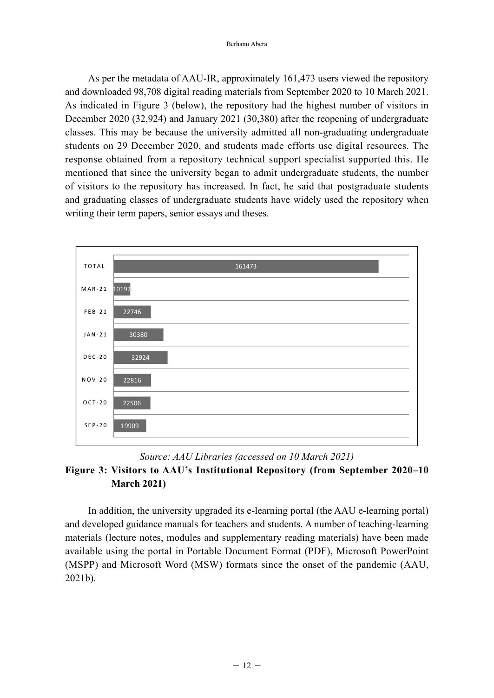As per the metadata of AAU-IR, approximately 161,473 users viewed the repository and downloaded 98,708 digital reading materials from September 2020 to 10 March 2021. As indicated in Figure 3 (below), the repository had the highest number of visitors in December 2020 (32,924) and January 2021 (30,380) after the reopening of undergraduate classes. This may be because the university admitted all non-graduating undergraduate students on 29 December 2020, and students made efforts use digital resources. The response obtained from a repository technical support specialist supported this. He mentioned that since the university began to admit undergraduate students, the number of visitors to the repository has increased. In fact, he said that postgraduate students and graduating classes of undergraduate students have widely used the repository when writing their term papers, senior essays and theses.



## *Source: AAU Libraries (accessed on 10 March 2021)* **Figure 3: Visitors to AAU's Institutional Repository (from September 2020–10 March 2021)**

In addition, the university upgraded its e-learning portal (the AAU e-learning portal) and developed guidance manuals for teachers and students. A number of teaching-learning materials (lecture notes, modules and supplementary reading materials) have been made available using the portal in Portable Document Format (PDF), Microsoft PowerPoint (MSPP) and Microsoft Word (MSW) formats since the onset of the pandemic (AAU, 2021b).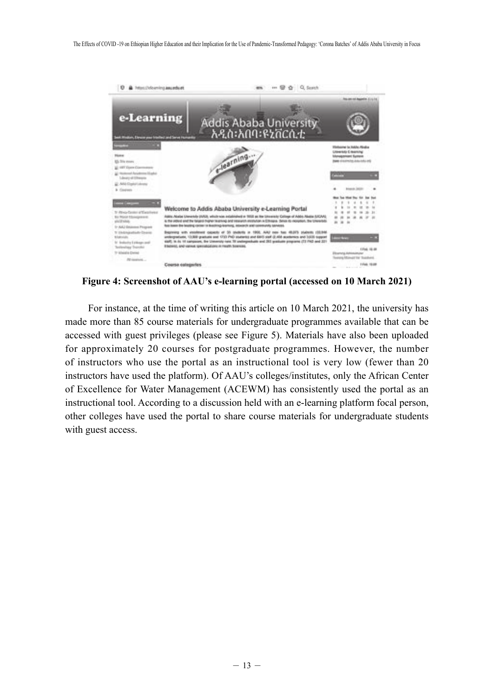

**Figure 4: Screenshot of AAU's e-learning portal (accessed on 10 March 2021)**

For instance, at the time of writing this article on 10 March 2021, the university has made more than 85 course materials for undergraduate programmes available that can be accessed with guest privileges (please see Figure 5). Materials have also been uploaded for approximately 20 courses for postgraduate programmes. However, the number of instructors who use the portal as an instructional tool is very low (fewer than 20 instructors have used the platform). Of AAU's colleges/institutes, only the African Center of Excellence for Water Management (ACEWM) has consistently used the portal as an instructional tool. According to a discussion held with an e-learning platform focal person, other colleges have used the portal to share course materials for undergraduate students with guest access.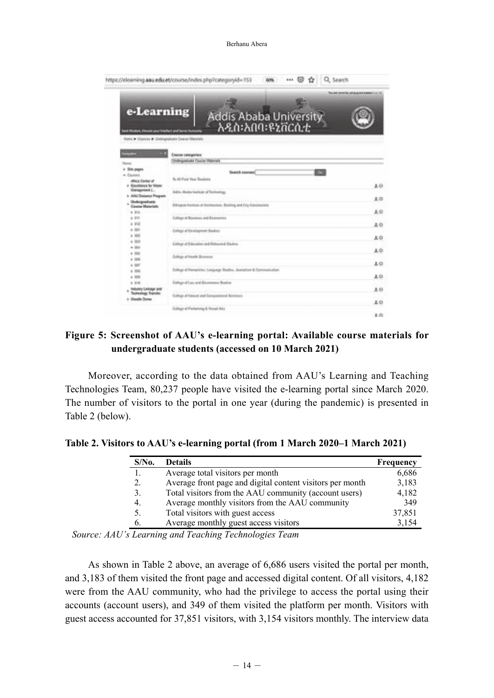Berhanu Abera

| e-Learning<br>Addis Ababa University<br>አዲስ፡አበባ፡ዩኒቨርሲቲ<br>follow, Devote and triefied and been to<br>Flams & Courses & Debryonicals Casses Materials | This are avents which on a seed in 19. |
|------------------------------------------------------------------------------------------------------------------------------------------------------|----------------------------------------|
|                                                                                                                                                      |                                        |
|                                                                                                                                                      |                                        |
| <b>Cristal categories</b>                                                                                                                            |                                        |
| Sidegratula Course Materials                                                                                                                         |                                        |
| + Site pages                                                                                                                                         |                                        |
| <b>DOM:</b><br>Swarph courses!<br>a Corera                                                                                                           |                                        |
| Iv-At Fed Year Steplents<br>Africa Carbai of                                                                                                         |                                        |
| > Excellence for follows                                                                                                                             | 10                                     |
| <b>Ularagement C.</b><br><b>RATA Ababa</b> institute of Technology<br>tr ANZ/Dalamot Phopers:                                                        |                                        |
| Undergreekente                                                                                                                                       | 上口                                     |
| Ethniques feetbank at Aventucture. Building, and City Constite<br>Cassine Materials                                                                  |                                        |
| 16 BW                                                                                                                                                | 10                                     |
| Callege of Business and Bosonwood<br>$A$ and                                                                                                         |                                        |
| $+ 0.02$                                                                                                                                             | 40                                     |
| $+165$<br><b>Callege of Elevelopment Blackster</b>                                                                                                   |                                        |
| 1.102                                                                                                                                                | χo                                     |
| $+ 100$<br>Callege of Education and Behavior Elizaber                                                                                                |                                        |
| $+100$                                                                                                                                               | 브라                                     |
| $+ 100$<br>Earliege of Health Belmoore                                                                                                               |                                        |
| $+188$                                                                                                                                               | 10                                     |
| $+107$<br>Diffuge of Hartwritten, Language Studies, Instruction & Dainmaskiation                                                                     |                                        |
| 1.788<br>$n$ mm                                                                                                                                      | 보다                                     |
| Callege of Law and Giovenness Busines<br>1.99                                                                                                        |                                        |
| <b>INVENTIONAL ENT</b>                                                                                                                               | 1.01                                   |
| <b>Technology Transfer</b><br>Exhip at hand and Ennumance Brieness                                                                                   |                                        |
| t Mask Dow                                                                                                                                           |                                        |
|                                                                                                                                                      | 上口                                     |
| Callege of Furturining & Visual Ad a                                                                                                                 | . .                                    |

## **Figure 5: Screenshot of AAU's e-learning portal: Available course materials for undergraduate students (accessed on 10 March 2021)**

Moreover, according to the data obtained from AAU's Learning and Teaching Technologies Team, 80,237 people have visited the e-learning portal since March 2020. The number of visitors to the portal in one year (during the pandemic) is presented in Table 2 (below).

| $S/N0$ . | <b>Details</b>                                            | Frequency |
|----------|-----------------------------------------------------------|-----------|
|          | Average total visitors per month                          | 6,686     |
| 2.       | Average front page and digital content visitors per month | 3,183     |
| 3.       | Total visitors from the AAU community (account users)     | 4,182     |
| 4.       | Average monthly visitors from the AAU community           | 349       |
| 5.       | Total visitors with guest access                          | 37,851    |
| b.       | Average monthly guest access visitors                     | 3,154     |

**Table 2. Visitors to AAU's e-learning portal (from 1 March 2020–1 March 2021)**

*Source: AAU's Learning and Teaching Technologies Team*

As shown in Table 2 above, an average of 6,686 users visited the portal per month, and 3,183 of them visited the front page and accessed digital content. Of all visitors, 4,182 were from the AAU community, who had the privilege to access the portal using their accounts (account users), and 349 of them visited the platform per month. Visitors with guest access accounted for 37,851 visitors, with 3,154 visitors monthly. The interview data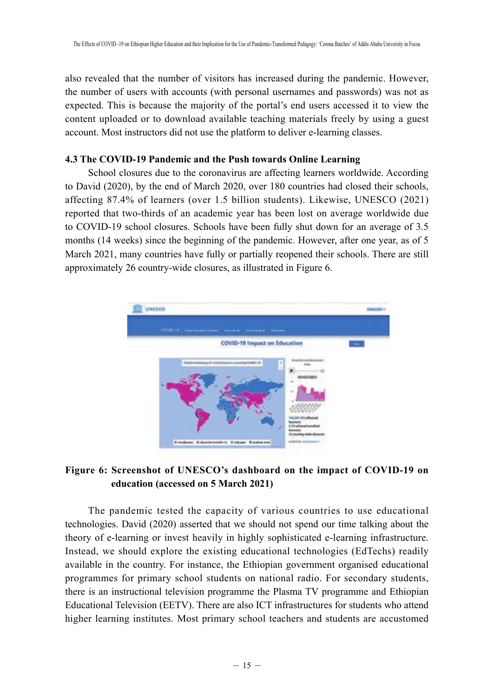also revealed that the number of visitors has increased during the pandemic. However, the number of users with accounts (with personal usernames and passwords) was not as expected. This is because the majority of the portal's end users accessed it to view the content uploaded or to download available teaching materials freely by using a guest account. Most instructors did not use the platform to deliver e-learning classes.

### **4.3 The COVID-19 Pandemic and the Push towards Online Learning**

School closures due to the coronavirus are affecting learners worldwide. According to David (2020), by the end of March 2020, over 180 countries had closed their schools, affecting 87.4% of learners (over 1.5 billion students). Likewise, UNESCO (2021) reported that two-thirds of an academic year has been lost on average worldwide due to COVID-19 school closures. Schools have been fully shut down for an average of 3.5 months (14 weeks) since the beginning of the pandemic. However, after one year, as of 5 March 2021, many countries have fully or partially reopened their schools. There are still approximately 26 country-wide closures, as illustrated in Figure 6.



## **Figure 6: Screenshot of UNESCO's dashboard on the impact of COVID-19 on education (accessed on 5 March 2021)**

The pandemic tested the capacity of various countries to use educational technologies. David (2020) asserted that we should not spend our time talking about the theory of e-learning or invest heavily in highly sophisticated e-learning infrastructure. Instead, we should explore the existing educational technologies (EdTechs) readily available in the country. For instance, the Ethiopian government organised educational programmes for primary school students on national radio. For secondary students, there is an instructional television programme the Plasma TV programme and Ethiopian Educational Television (EETV). There are also ICT infrastructures for students who attend higher learning institutes. Most primary school teachers and students are accustomed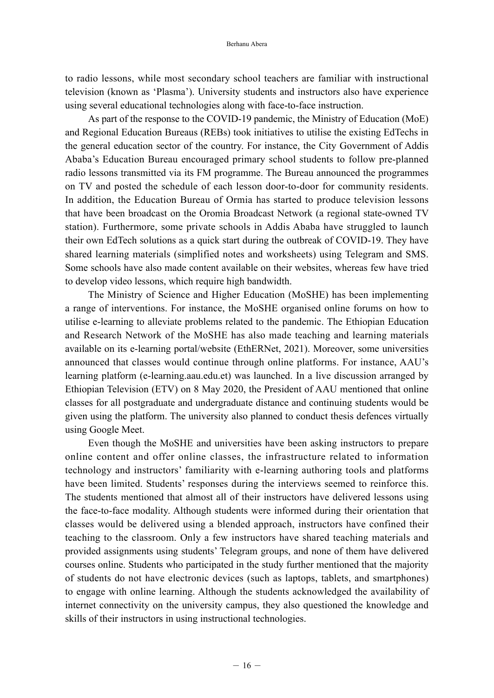to radio lessons, while most secondary school teachers are familiar with instructional television (known as 'Plasma'). University students and instructors also have experience using several educational technologies along with face-to-face instruction.

As part of the response to the COVID-19 pandemic, the Ministry of Education (MoE) and Regional Education Bureaus (REBs) took initiatives to utilise the existing EdTechs in the general education sector of the country. For instance, the City Government of Addis Ababa's Education Bureau encouraged primary school students to follow pre-planned radio lessons transmitted via its FM programme. The Bureau announced the programmes on TV and posted the schedule of each lesson door-to-door for community residents. In addition, the Education Bureau of Ormia has started to produce television lessons that have been broadcast on the Oromia Broadcast Network (a regional state-owned TV station). Furthermore, some private schools in Addis Ababa have struggled to launch their own EdTech solutions as a quick start during the outbreak of COVID-19. They have shared learning materials (simplified notes and worksheets) using Telegram and SMS. Some schools have also made content available on their websites, whereas few have tried to develop video lessons, which require high bandwidth.

The Ministry of Science and Higher Education (MoSHE) has been implementing a range of interventions. For instance, the MoSHE organised online forums on how to utilise e-learning to alleviate problems related to the pandemic. The Ethiopian Education and Research Network of the MoSHE has also made teaching and learning materials available on its e-learning portal/website (EthERNet, 2021). Moreover, some universities announced that classes would continue through online platforms. For instance, AAU's learning platform (e-learning.aau.edu.et) was launched. In a live discussion arranged by Ethiopian Television (ETV) on 8 May 2020, the President of AAU mentioned that online classes for all postgraduate and undergraduate distance and continuing students would be given using the platform. The university also planned to conduct thesis defences virtually using Google Meet.

Even though the MoSHE and universities have been asking instructors to prepare online content and offer online classes, the infrastructure related to information technology and instructors' familiarity with e-learning authoring tools and platforms have been limited. Students' responses during the interviews seemed to reinforce this. The students mentioned that almost all of their instructors have delivered lessons using the face-to-face modality. Although students were informed during their orientation that classes would be delivered using a blended approach, instructors have confined their teaching to the classroom. Only a few instructors have shared teaching materials and provided assignments using students' Telegram groups, and none of them have delivered courses online. Students who participated in the study further mentioned that the majority of students do not have electronic devices (such as laptops, tablets, and smartphones) to engage with online learning. Although the students acknowledged the availability of internet connectivity on the university campus, they also questioned the knowledge and skills of their instructors in using instructional technologies.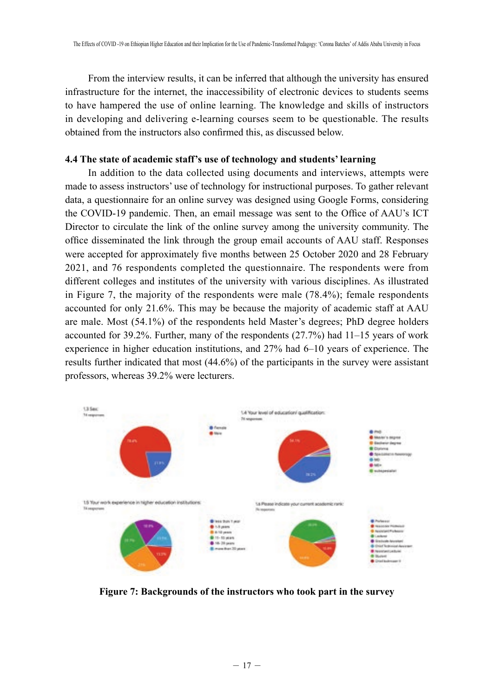From the interview results, it can be inferred that although the university has ensured infrastructure for the internet, the inaccessibility of electronic devices to students seems to have hampered the use of online learning. The knowledge and skills of instructors in developing and delivering e-learning courses seem to be questionable. The results obtained from the instructors also confirmed this, as discussed below.

#### **4.4 The state of academic staff's use of technology and students' learning**

In addition to the data collected using documents and interviews, attempts were made to assess instructors' use of technology for instructional purposes. To gather relevant data, a questionnaire for an online survey was designed using Google Forms, considering the COVID-19 pandemic. Then, an email message was sent to the Office of AAU's ICT Director to circulate the link of the online survey among the university community. The office disseminated the link through the group email accounts of AAU staff. Responses were accepted for approximately five months between 25 October 2020 and 28 February 2021, and 76 respondents completed the questionnaire. The respondents were from different colleges and institutes of the university with various disciplines. As illustrated in Figure 7, the majority of the respondents were male (78.4%); female respondents accounted for only 21.6%. This may be because the majority of academic staff at AAU are male. Most (54.1%) of the respondents held Master's degrees; PhD degree holders accounted for 39.2%. Further, many of the respondents (27.7%) had 11–15 years of work experience in higher education institutions, and 27% had 6–10 years of experience. The results further indicated that most (44.6%) of the participants in the survey were assistant professors, whereas 39.2% were lecturers.

![](_page_14_Figure_4.jpeg)

**Figure 7: Backgrounds of the instructors who took part in the survey**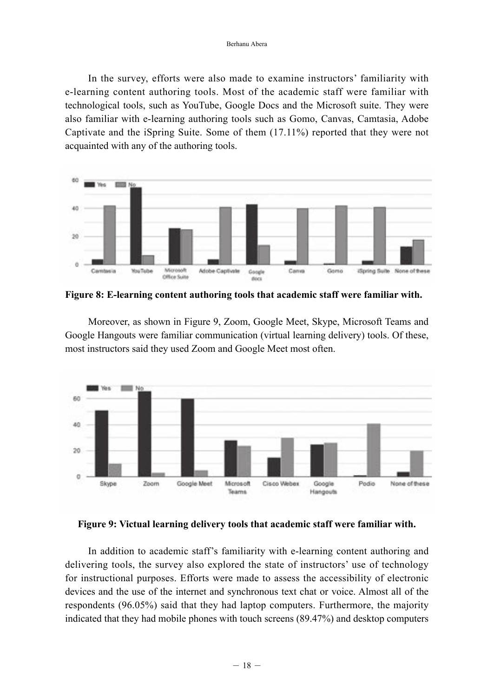In the survey, efforts were also made to examine instructors' familiarity with e-learning content authoring tools. Most of the academic staff were familiar with technological tools, such as YouTube, Google Docs and the Microsoft suite. They were also familiar with e-learning authoring tools such as Gomo, Canvas, Camtasia, Adobe Captivate and the iSpring Suite. Some of them (17.11%) reported that they were not acquainted with any of the authoring tools.

![](_page_15_Figure_2.jpeg)

**Figure 8: E-learning content authoring tools that academic staff were familiar with.**

Moreover, as shown in Figure 9, Zoom, Google Meet, Skype, Microsoft Teams and Google Hangouts were familiar communication (virtual learning delivery) tools. Of these, most instructors said they used Zoom and Google Meet most often.

![](_page_15_Figure_5.jpeg)

### **Figure 9: Victual learning delivery tools that academic staff were familiar with.**

In addition to academic staff's familiarity with e-learning content authoring and delivering tools, the survey also explored the state of instructors' use of technology for instructional purposes. Efforts were made to assess the accessibility of electronic devices and the use of the internet and synchronous text chat or voice. Almost all of the respondents (96.05%) said that they had laptop computers. Furthermore, the majority indicated that they had mobile phones with touch screens (89.47%) and desktop computers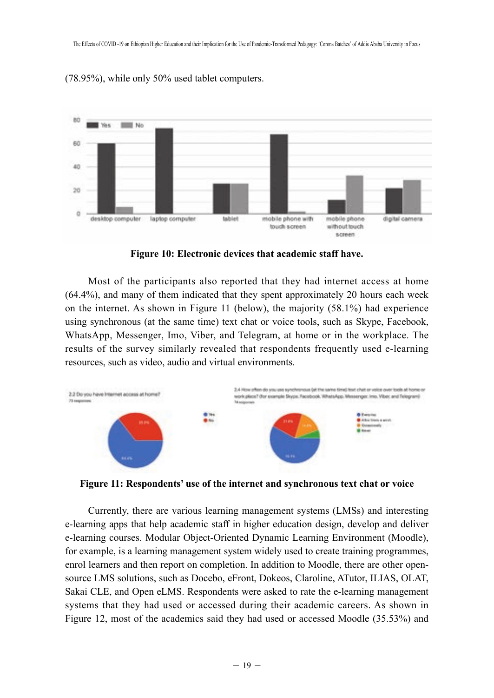![](_page_16_Figure_1.jpeg)

(78.95%), while only 50% used tablet computers.

**Figure 10: Electronic devices that academic staff have.**

Most of the participants also reported that they had internet access at home (64.4%), and many of them indicated that they spent approximately 20 hours each week on the internet. As shown in Figure 11 (below), the majority (58.1%) had experience using synchronous (at the same time) text chat or voice tools, such as Skype, Facebook, WhatsApp, Messenger, Imo, Viber, and Telegram, at home or in the workplace. The results of the survey similarly revealed that respondents frequently used e-learning resources, such as video, audio and virtual environments.

![](_page_16_Figure_5.jpeg)

**Figure 11: Respondents' use of the internet and synchronous text chat or voice**

Currently, there are various learning management systems (LMSs) and interesting e-learning apps that help academic staff in higher education design, develop and deliver e-learning courses. Modular Object-Oriented Dynamic Learning Environment (Moodle), for example, is a learning management system widely used to create training programmes, enrol learners and then report on completion. In addition to Moodle, there are other opensource LMS solutions, such as Docebo, eFront, Dokeos, Claroline, ATutor, ILIAS, OLAT, Sakai CLE, and Open eLMS. Respondents were asked to rate the e-learning management systems that they had used or accessed during their academic careers. As shown in Figure 12, most of the academics said they had used or accessed Moodle (35.53%) and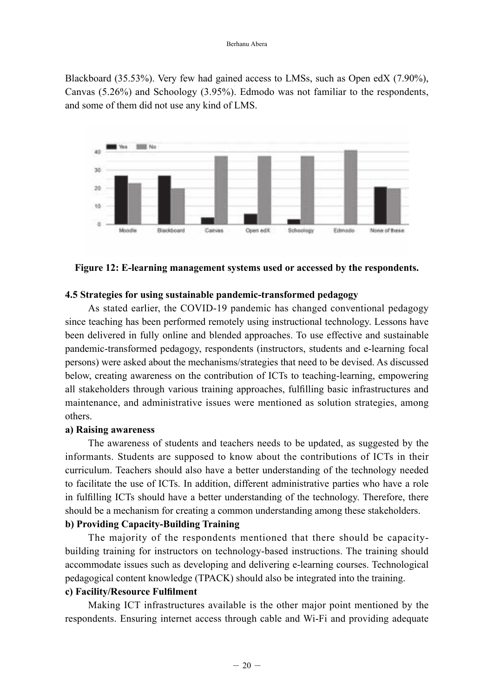Blackboard (35.53%). Very few had gained access to LMSs, such as Open edX (7.90%), Canvas (5.26%) and Schoology (3.95%). Edmodo was not familiar to the respondents, and some of them did not use any kind of LMS.

![](_page_17_Figure_2.jpeg)

**Figure 12: E-learning management systems used or accessed by the respondents.**

### **4.5 Strategies for using sustainable pandemic-transformed pedagogy**

As stated earlier, the COVID-19 pandemic has changed conventional pedagogy since teaching has been performed remotely using instructional technology. Lessons have been delivered in fully online and blended approaches. To use effective and sustainable pandemic-transformed pedagogy, respondents (instructors, students and e-learning focal persons) were asked about the mechanisms/strategies that need to be devised. As discussed below, creating awareness on the contribution of ICTs to teaching-learning, empowering all stakeholders through various training approaches, fulfilling basic infrastructures and maintenance, and administrative issues were mentioned as solution strategies, among others.

#### **a) Raising awareness**

The awareness of students and teachers needs to be updated, as suggested by the informants. Students are supposed to know about the contributions of ICTs in their curriculum. Teachers should also have a better understanding of the technology needed to facilitate the use of ICTs. In addition, different administrative parties who have a role in fulfilling ICTs should have a better understanding of the technology. Therefore, there should be a mechanism for creating a common understanding among these stakeholders.

## **b) Providing Capacity-Building Training**

The majority of the respondents mentioned that there should be capacitybuilding training for instructors on technology-based instructions. The training should accommodate issues such as developing and delivering e-learning courses. Technological pedagogical content knowledge (TPACK) should also be integrated into the training.

## **c) Facility/Resource Fulfilment**

Making ICT infrastructures available is the other major point mentioned by the respondents. Ensuring internet access through cable and Wi-Fi and providing adequate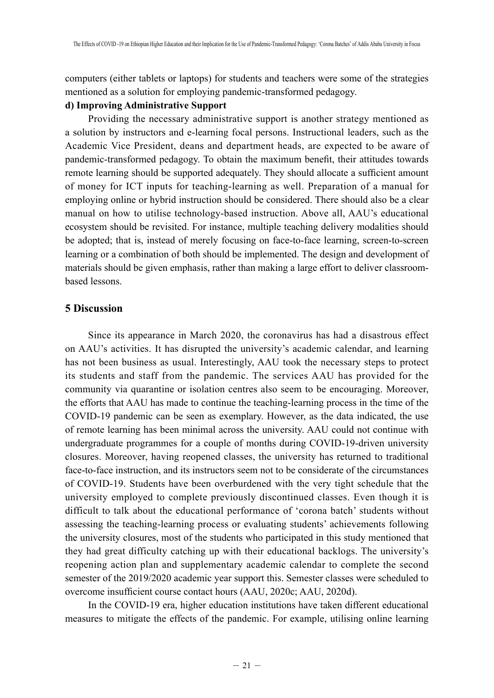computers (either tablets or laptops) for students and teachers were some of the strategies mentioned as a solution for employing pandemic-transformed pedagogy.

### **d) Improving Administrative Support**

Providing the necessary administrative support is another strategy mentioned as a solution by instructors and e-learning focal persons. Instructional leaders, such as the Academic Vice President, deans and department heads, are expected to be aware of pandemic-transformed pedagogy. To obtain the maximum benefit, their attitudes towards remote learning should be supported adequately. They should allocate a sufficient amount of money for ICT inputs for teaching-learning as well. Preparation of a manual for employing online or hybrid instruction should be considered. There should also be a clear manual on how to utilise technology-based instruction. Above all, AAU's educational ecosystem should be revisited. For instance, multiple teaching delivery modalities should be adopted; that is, instead of merely focusing on face-to-face learning, screen-to-screen learning or a combination of both should be implemented. The design and development of materials should be given emphasis, rather than making a large effort to deliver classroombased lessons.

## **5 Discussion**

Since its appearance in March 2020, the coronavirus has had a disastrous effect on AAU's activities. It has disrupted the university's academic calendar, and learning has not been business as usual. Interestingly, AAU took the necessary steps to protect its students and staff from the pandemic. The services AAU has provided for the community via quarantine or isolation centres also seem to be encouraging. Moreover, the efforts that AAU has made to continue the teaching-learning process in the time of the COVID-19 pandemic can be seen as exemplary. However, as the data indicated, the use of remote learning has been minimal across the university. AAU could not continue with undergraduate programmes for a couple of months during COVID-19-driven university closures. Moreover, having reopened classes, the university has returned to traditional face-to-face instruction, and its instructors seem not to be considerate of the circumstances of COVID-19. Students have been overburdened with the very tight schedule that the university employed to complete previously discontinued classes. Even though it is difficult to talk about the educational performance of 'corona batch' students without assessing the teaching-learning process or evaluating students' achievements following the university closures, most of the students who participated in this study mentioned that they had great difficulty catching up with their educational backlogs. The university's reopening action plan and supplementary academic calendar to complete the second semester of the 2019/2020 academic year support this. Semester classes were scheduled to overcome insufficient course contact hours (AAU, 2020c; AAU, 2020d).

In the COVID-19 era, higher education institutions have taken different educational measures to mitigate the effects of the pandemic. For example, utilising online learning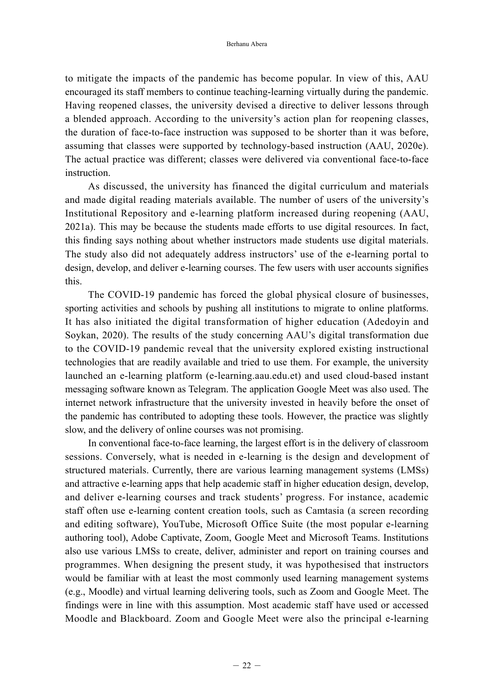to mitigate the impacts of the pandemic has become popular. In view of this, AAU encouraged its staff members to continue teaching-learning virtually during the pandemic. Having reopened classes, the university devised a directive to deliver lessons through a blended approach. According to the university's action plan for reopening classes, the duration of face-to-face instruction was supposed to be shorter than it was before, assuming that classes were supported by technology-based instruction (AAU, 2020e). The actual practice was different; classes were delivered via conventional face-to-face instruction.

As discussed, the university has financed the digital curriculum and materials and made digital reading materials available. The number of users of the university's Institutional Repository and e-learning platform increased during reopening (AAU, 2021a). This may be because the students made efforts to use digital resources. In fact, this finding says nothing about whether instructors made students use digital materials. The study also did not adequately address instructors' use of the e-learning portal to design, develop, and deliver e-learning courses. The few users with user accounts signifies this.

The COVID-19 pandemic has forced the global physical closure of businesses, sporting activities and schools by pushing all institutions to migrate to online platforms. It has also initiated the digital transformation of higher education (Adedoyin and Soykan, 2020). The results of the study concerning AAU's digital transformation due to the COVID-19 pandemic reveal that the university explored existing instructional technologies that are readily available and tried to use them. For example, the university launched an e-learning platform (e-learning.aau.edu.et) and used cloud-based instant messaging software known as Telegram. The application Google Meet was also used. The internet network infrastructure that the university invested in heavily before the onset of the pandemic has contributed to adopting these tools. However, the practice was slightly slow, and the delivery of online courses was not promising.

In conventional face-to-face learning, the largest effort is in the delivery of classroom sessions. Conversely, what is needed in e-learning is the design and development of structured materials. Currently, there are various learning management systems (LMSs) and attractive e-learning apps that help academic staff in higher education design, develop, and deliver e-learning courses and track students' progress. For instance, academic staff often use e-learning content creation tools, such as Camtasia (a screen recording and editing software), YouTube, Microsoft Office Suite (the most popular e-learning authoring tool), Adobe Captivate, Zoom, Google Meet and Microsoft Teams. Institutions also use various LMSs to create, deliver, administer and report on training courses and programmes. When designing the present study, it was hypothesised that instructors would be familiar with at least the most commonly used learning management systems (e.g., Moodle) and virtual learning delivering tools, such as Zoom and Google Meet. The findings were in line with this assumption. Most academic staff have used or accessed Moodle and Blackboard. Zoom and Google Meet were also the principal e-learning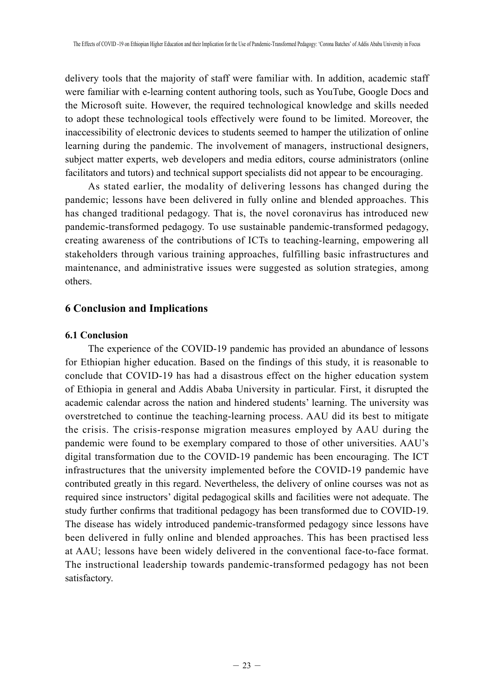delivery tools that the majority of staff were familiar with. In addition, academic staff were familiar with e-learning content authoring tools, such as YouTube, Google Docs and the Microsoft suite. However, the required technological knowledge and skills needed to adopt these technological tools effectively were found to be limited. Moreover, the inaccessibility of electronic devices to students seemed to hamper the utilization of online learning during the pandemic. The involvement of managers, instructional designers, subject matter experts, web developers and media editors, course administrators (online facilitators and tutors) and technical support specialists did not appear to be encouraging.

As stated earlier, the modality of delivering lessons has changed during the pandemic; lessons have been delivered in fully online and blended approaches. This has changed traditional pedagogy. That is, the novel coronavirus has introduced new pandemic-transformed pedagogy. To use sustainable pandemic-transformed pedagogy, creating awareness of the contributions of ICTs to teaching-learning, empowering all stakeholders through various training approaches, fulfilling basic infrastructures and maintenance, and administrative issues were suggested as solution strategies, among others.

## **6 Conclusion and Implications**

### **6.1 Conclusion**

The experience of the COVID-19 pandemic has provided an abundance of lessons for Ethiopian higher education. Based on the findings of this study, it is reasonable to conclude that COVID-19 has had a disastrous effect on the higher education system of Ethiopia in general and Addis Ababa University in particular. First, it disrupted the academic calendar across the nation and hindered students' learning. The university was overstretched to continue the teaching-learning process. AAU did its best to mitigate the crisis. The crisis-response migration measures employed by AAU during the pandemic were found to be exemplary compared to those of other universities. AAU's digital transformation due to the COVID-19 pandemic has been encouraging. The ICT infrastructures that the university implemented before the COVID-19 pandemic have contributed greatly in this regard. Nevertheless, the delivery of online courses was not as required since instructors' digital pedagogical skills and facilities were not adequate. The study further confirms that traditional pedagogy has been transformed due to COVID-19. The disease has widely introduced pandemic-transformed pedagogy since lessons have been delivered in fully online and blended approaches. This has been practised less at AAU; lessons have been widely delivered in the conventional face-to-face format. The instructional leadership towards pandemic-transformed pedagogy has not been satisfactory.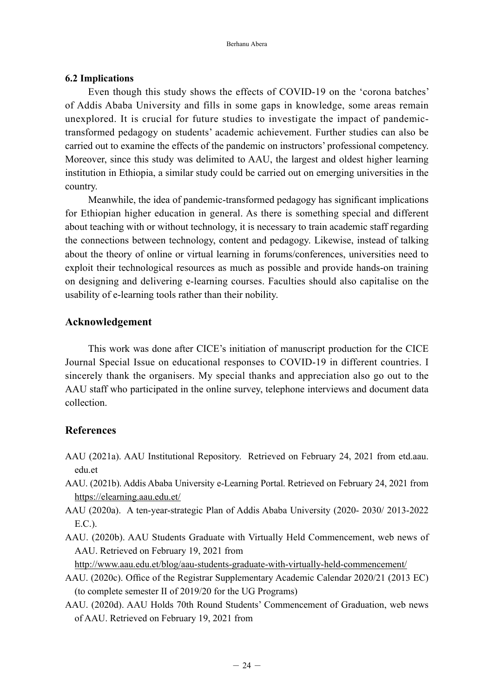#### **6.2 Implications**

Even though this study shows the effects of COVID-19 on the 'corona batches' of Addis Ababa University and fills in some gaps in knowledge, some areas remain unexplored. It is crucial for future studies to investigate the impact of pandemictransformed pedagogy on students' academic achievement. Further studies can also be carried out to examine the effects of the pandemic on instructors' professional competency. Moreover, since this study was delimited to AAU, the largest and oldest higher learning institution in Ethiopia, a similar study could be carried out on emerging universities in the country.

Meanwhile, the idea of pandemic-transformed pedagogy has significant implications for Ethiopian higher education in general. As there is something special and different about teaching with or without technology, it is necessary to train academic staff regarding the connections between technology, content and pedagogy. Likewise, instead of talking about the theory of online or virtual learning in forums/conferences, universities need to exploit their technological resources as much as possible and provide hands-on training on designing and delivering e-learning courses. Faculties should also capitalise on the usability of e-learning tools rather than their nobility.

### **Acknowledgement**

This work was done after CICE's initiation of manuscript production for the CICE Journal Special Issue on educational responses to COVID-19 in different countries. I sincerely thank the organisers. My special thanks and appreciation also go out to the AAU staff who participated in the online survey, telephone interviews and document data collection.

## **References**

- AAU (2021a). AAU Institutional Repository. Retrieved on February 24, 2021 from etd.aau. edu.et
- AAU. (2021b). Addis Ababa University e-Learning Portal. Retrieved on February 24, 2021 from https://elearning.aau.edu.et/
- AAU (2020a). A ten-year-strategic Plan of Addis Ababa University (2020- 2030/ 2013-2022 E.C.).
- AAU. (2020b). AAU Students Graduate with Virtually Held Commencement, web news of AAU. Retrieved on February 19, 2021 from

http://www.aau.edu.et/blog/aau-students-graduate-with-virtually-held-commencement/

- AAU. (2020c). Office of the Registrar Supplementary Academic Calendar 2020/21 (2013 EC) (to complete semester II of 2019/20 for the UG Programs)
- AAU. (2020d). AAU Holds 70th Round Students' Commencement of Graduation, web news of AAU. Retrieved on February 19, 2021 from